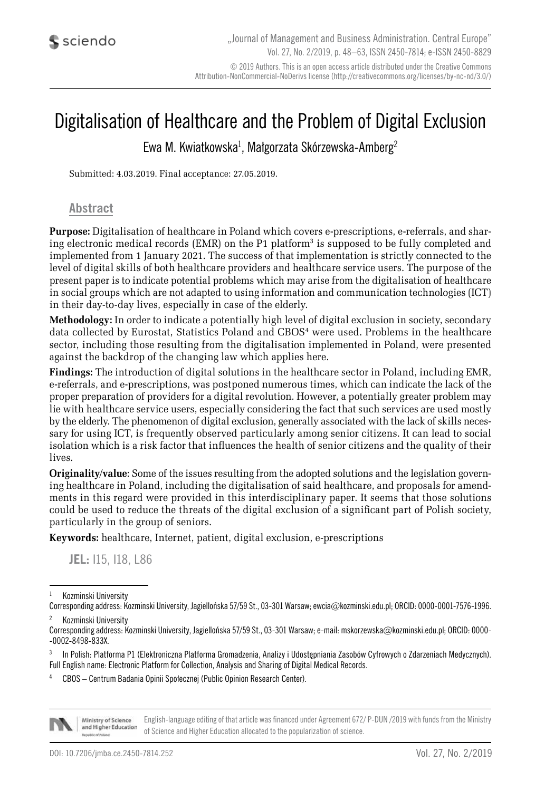# Digitalisation of Healthcare and the Problem of Digital Exclusion

Ewa M. Kwiatkowska $^1$ , Małgorzata Skórzewska-Amberg $^2$ 

Submitted: 4.03.2019. Final acceptance: 27.05.2019.

#### **Abstract**

**Purpose:** Digitalisation of healthcare in Poland which covers e-prescriptions, e-referrals, and sharing electronic medical records (EMR) on the P1 platform<sup>3</sup> is supposed to be fully completed and implemented from 1 January 2021. The success of that implementation is strictly connected to the level of digital skills of both healthcare providers and healthcare service users. The purpose of the present paper is to indicate potential problems which may arise from the digitalisation of healthcare in social groups which are not adapted to using information and communication technologies (ICT) in their day-to-day lives, especially in case of the elderly.

**Methodology:** In order to indicate a potentially high level of digital exclusion in society, secondary data collected by Eurostat, Statistics Poland and CBOS<sup>4</sup> were used. Problems in the healthcare sector, including those resulting from the digitalisation implemented in Poland, were presented against the backdrop of the changing law which applies here.

**Findings:** The introduction of digital solutions in the healthcare sector in Poland, including EMR, e-referrals, and e-prescriptions, was postponed numerous times, which can indicate the lack of the proper preparation of providers for a digital revolution. However, a potentially greater problem may lie with healthcare service users, especially considering the fact that such services are used mostly by the elderly. The phenomenon of digital exclusion, generally associated with the lack of skills necessary for using ICT, is frequently observed particularly among senior citizens. It can lead to social isolation which is a risk factor that influences the health of senior citizens and the quality of their lives.

**Originality/value**: Some of the issues resulting from the adopted solutions and the legislation governing healthcare in Poland, including the digitalisation of said healthcare, and proposals for amendments in this regard were provided in this interdisciplinary paper. It seems that those solutions could be used to reduce the threats of the digital exclusion of a significant part of Polish society, particularly in the group of seniors.

**Keywords:** healthcare, Internet, patient, digital exclusion, e-prescriptions

**JEL:** I15, I18, L86

Kozminski University

<sup>4</sup> CBOS – Centrum Badania Opinii Społecznej (Public Opinion Research Center).



English-language editing of that article was financed under Agreement 672/ P-DUN /2019 with funds from the Ministry Ministry of Science and Higher Education of Science and Higher Education allocated to the popularization of science.

Corresponding address: Kozminski University, Jagiellońska 57/59 St., 03-301 Warsaw; ewcia@kozminski.edu.pl; ORCID: 0000-0001-7576-1996. <sup>2</sup> Kozminski University

Corresponding address: Kozminski University, Jagiellońska 57/59 St., 03-301 Warsaw; e-mail: mskorzewska@kozminski.edu.pl; ORCID: 0000- -0002-8498-833X.

<sup>3</sup> In Polish: Platforma P1 (Elektroniczna Platforma Gromadzenia, Analizy i Udostępniania Zasobów Cyfrowych o Zdarzeniach Medycznych). Full English name: Electronic Platform for Collection, Analysis and Sharing of Digital Medical Records.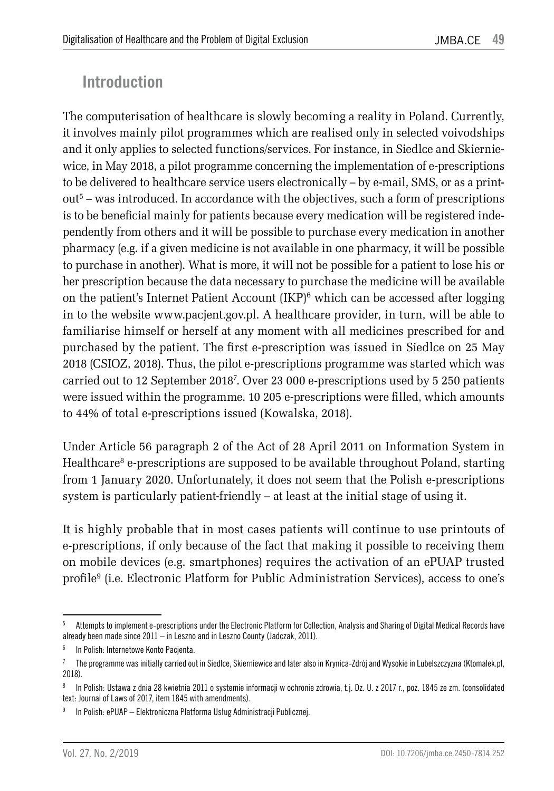## **Introduction**

The computerisation of healthcare is slowly becoming a reality in Poland. Currently, it involves mainly pilot programmes which are realised only in selected voivodships and it only applies to selected functions/services. For instance, in Siedlce and Skierniewice, in May 2018, a pilot programme concerning the implementation of e-prescriptions to be delivered to healthcare service users electronically – by e-mail, SMS, or as a print $out<sup>5</sup> - was introduced. In accordance with the objectives, such a form of prescriptions$ is to be beneficial mainly for patients because every medication will be registered independently from others and it will be possible to purchase every medication in another pharmacy (e.g. if a given medicine is not available in one pharmacy, it will be possible to purchase in another). What is more, it will not be possible for a patient to lose his or her prescription because the data necessary to purchase the medicine will be available on the patient's Internet Patient Account  $\rm (IKP)^6$  which can be accessed after logging in to the website www.pacjent.gov.pl. A healthcare provider, in turn, will be able to familiarise himself or herself at any moment with all medicines prescribed for and purchased by the patient. The first e-prescription was issued in Siedlce on 25 May 2018 (CSIOZ, 2018). Thus, the pilot e-prescriptions programme was started which was carried out to 12 September 20187 . Over 23 000 e-prescriptions used by 5 250 patients were issued within the programme. 10 205 e-prescriptions were filled, which amounts to 44% of total e-prescriptions issued (Kowalska, 2018).

Under Article 56 paragraph 2 of the Act of 28 April 2011 on Information System in Healthcare<sup>8</sup> e-prescriptions are supposed to be available throughout Poland, starting from 1 January 2020. Unfortunately, it does not seem that the Polish e-prescriptions system is particularly patient-friendly – at least at the initial stage of using it.

It is highly probable that in most cases patients will continue to use printouts of e-prescriptions, if only because of the fact that making it possible to receiving them on mobile devices (e.g. smartphones) requires the activation of an ePUAP trusted profile9 (i.e. Electronic Platform for Public Administration Services), access to one's

<sup>&</sup>lt;sup>5</sup> Attempts to implement e-prescriptions under the Electronic Platform for Collection, Analysis and Sharing of Digital Medical Records have already been made since 2011 – in Leszno and in Leszno County (Jadczak, 2011).

<sup>6</sup> In Polish: Internetowe Konto Pacjenta.

<sup>7</sup> The programme was initially carried out in Siedlce, Skierniewice and later also in Krynica-Zdrój and Wysokie in Lubelszczyzna (Ktomalek.pl, 2018).

<sup>8</sup> In Polish: Ustawa z dnia 28 kwietnia 2011 o systemie informacji w ochronie zdrowia, t.j. Dz. U. z 2017 r., poz. 1845 ze zm. (consolidated text: Journal of Laws of 2017, item 1845 with amendments).

<sup>9</sup> In Polish: ePUAP – Elektroniczna Platforma Usług Administracji Publicznej.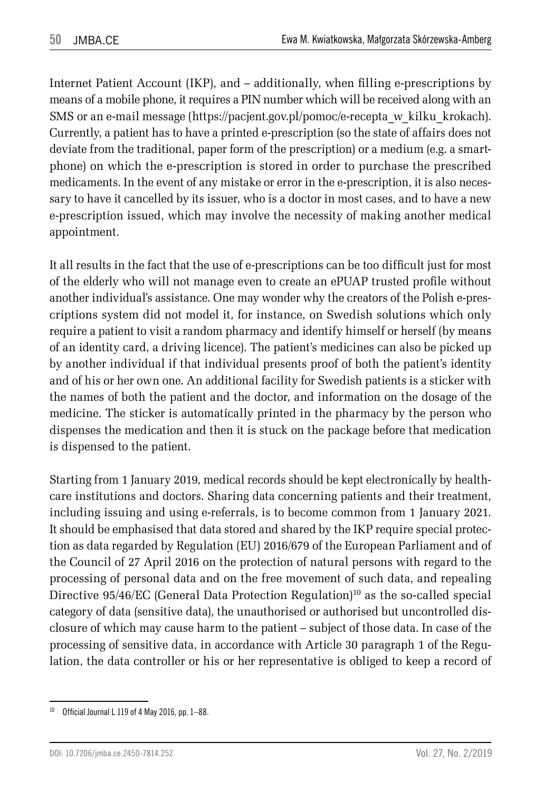Internet Patient Account (IKP), and – additionally, when filling e-prescriptions by means of a mobile phone, it requires a PIN number which will be received along with an SMS or an e-mail message (https://pacjent.gov.pl/pomoc/e-recepta\_w\_kilku\_krokach). Currently, a patient has to have a printed e-prescription (so the state of affairs does not deviate from the traditional, paper form of the prescription) or a medium (e.g. a smartphone) on which the e-prescription is stored in order to purchase the prescribed medicaments. In the event of any mistake or error in the e-prescription, it is also necessary to have it cancelled by its issuer, who is a doctor in most cases, and to have a new e-prescription issued, which may involve the necessity of making another medical appointment.

It all results in the fact that the use of e-prescriptions can be too difficult just for most of the elderly who will not manage even to create an ePUAP trusted profile without another individual's assistance. One may wonder why the creators of the Polish e-prescriptions system did not model it, for instance, on Swedish solutions which only require a patient to visit a random pharmacy and identify himself or herself (by means of an identity card, a driving licence). The patient's medicines can also be picked up by another individual if that individual presents proof of both the patient's identity and of his or her own one. An additional facility for Swedish patients is a sticker with the names of both the patient and the doctor, and information on the dosage of the medicine. The sticker is automatically printed in the pharmacy by the person who dispenses the medication and then it is stuck on the package before that medication is dispensed to the patient.

Starting from 1 January 2019, medical records should be kept electronically by healthcare institutions and doctors. Sharing data concerning patients and their treatment, including issuing and using e-referrals, is to become common from 1 January 2021. It should be emphasised that data stored and shared by the IKP require special protection as data regarded by Regulation (EU) 2016/679 of the European Parliament and of the Council of 27 April 2016 on the protection of natural persons with regard to the processing of personal data and on the free movement of such data, and repealing Directive 95/46/EC (General Data Protection Regulation)<sup>10</sup> as the so-called special category of data (sensitive data), the unauthorised or authorised but uncontrolled disclosure of which may cause harm to the patient – subject of those data. In case of the processing of sensitive data, in accordance with Article 30 paragraph 1 of the Regulation, the data controller or his or her representative is obliged to keep a record of

<sup>10</sup> Official Journal L 119 of 4 May 2016, pp. 1–88.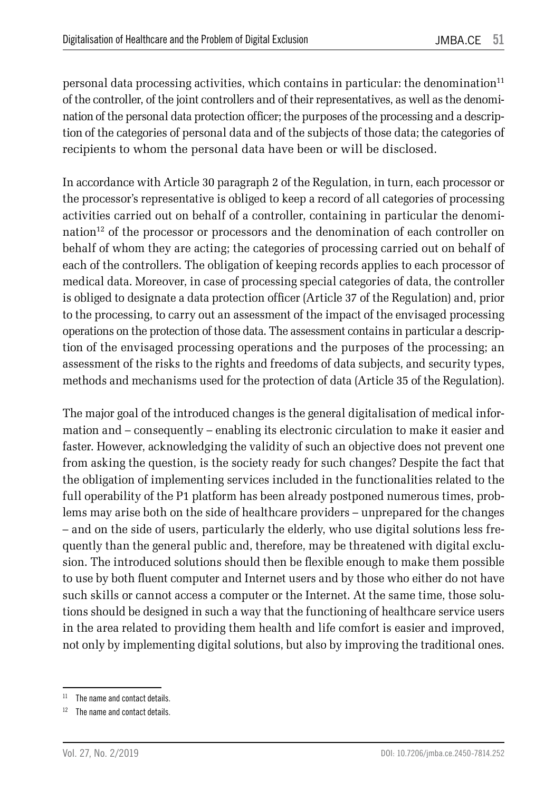personal data processing activities, which contains in particular: the denomination<sup>11</sup> of the controller, of the joint controllers and of their representatives, as well as the denomination of the personal data protection officer; the purposes of the processing and a description of the categories of personal data and of the subjects of those data; the categories of recipients to whom the personal data have been or will be disclosed.

In accordance with Article 30 paragraph 2 of the Regulation, in turn, each processor or the processor's representative is obliged to keep a record of all categories of processing activities carried out on behalf of a controller, containing in particular the denomination12 of the processor or processors and the denomination of each controller on behalf of whom they are acting; the categories of processing carried out on behalf of each of the controllers. The obligation of keeping records applies to each processor of medical data. Moreover, in case of processing special categories of data, the controller is obliged to designate a data protection officer (Article 37 of the Regulation) and, prior to the processing, to carry out an assessment of the impact of the envisaged processing operations on the protection of those data. The assessment contains in particular a description of the envisaged processing operations and the purposes of the processing; an assessment of the risks to the rights and freedoms of data subjects, and security types, methods and mechanisms used for the protection of data (Article 35 of the Regulation).

The major goal of the introduced changes is the general digitalisation of medical information and – consequently – enabling its electronic circulation to make it easier and faster. However, acknowledging the validity of such an objective does not prevent one from asking the question, is the society ready for such changes? Despite the fact that the obligation of implementing services included in the functionalities related to the full operability of the P1 platform has been already postponed numerous times, problems may arise both on the side of healthcare providers – unprepared for the changes – and on the side of users, particularly the elderly, who use digital solutions less frequently than the general public and, therefore, may be threatened with digital exclusion. The introduced solutions should then be flexible enough to make them possible to use by both fluent computer and Internet users and by those who either do not have such skills or cannot access a computer or the Internet. At the same time, those solutions should be designed in such a way that the functioning of healthcare service users in the area related to providing them health and life comfort is easier and improved, not only by implementing digital solutions, but also by improving the traditional ones.

 $11$  The name and contact details.

<sup>&</sup>lt;sup>12</sup> The name and contact details.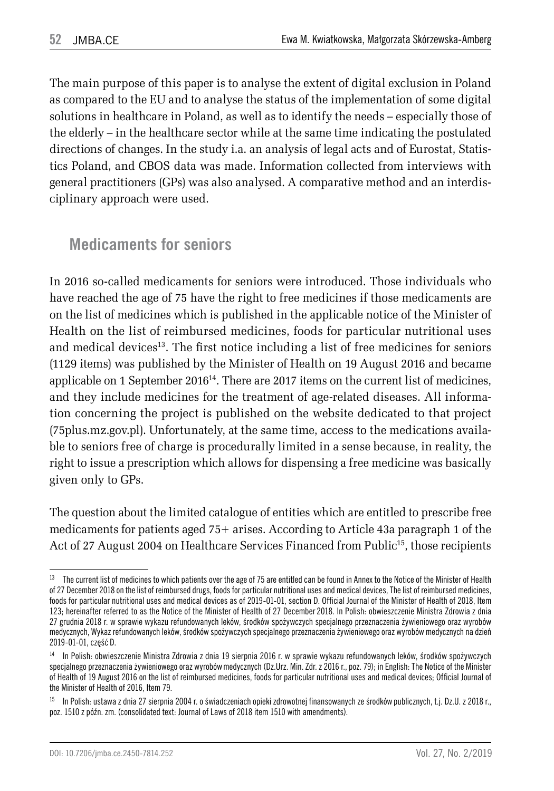The main purpose of this paper is to analyse the extent of digital exclusion in Poland as compared to the EU and to analyse the status of the implementation of some digital solutions in healthcare in Poland, as well as to identify the needs – especially those of the elderly – in the healthcare sector while at the same time indicating the postulated directions of changes. In the study i.a. an analysis of legal acts and of Eurostat, Statistics Poland, and CBOS data was made. Information collected from interviews with general practitioners (GPs) was also analysed. A comparative method and an interdisciplinary approach were used.

#### **Medicaments for seniors**

In 2016 so-called medicaments for seniors were introduced. Those individuals who have reached the age of 75 have the right to free medicines if those medicaments are on the list of medicines which is published in the applicable notice of the Minister of Health on the list of reimbursed medicines, foods for particular nutritional uses and medical devices<sup>13</sup>. The first notice including a list of free medicines for seniors (1129 items) was published by the Minister of Health on 19 August 2016 and became applicable on 1 September 2016<sup>14</sup>. There are 2017 items on the current list of medicines, and they include medicines for the treatment of age-related diseases. All information concerning the project is published on the website dedicated to that project (75plus.mz.gov.pl). Unfortunately, at the same time, access to the medications available to seniors free of charge is procedurally limited in a sense because, in reality, the right to issue a prescription which allows for dispensing a free medicine was basically given only to GPs.

The question about the limited catalogue of entities which are entitled to prescribe free medicaments for patients aged 75+ arises. According to Article 43a paragraph 1 of the Act of 27 August 2004 on Healthcare Services Financed from Public<sup>15</sup>, those recipients

<sup>&</sup>lt;sup>13</sup> The current list of medicines to which patients over the age of 75 are entitled can be found in Annex to the Notice of the Minister of Health of 27 December 2018 on the list of reimbursed drugs, foods for particular nutritional uses and medical devices, The list of reimbursed medicines, foods for particular nutritional uses and medical devices as of 2019-01-01, section D. Official Journal of the Minister of Health of 2018, Item 123; hereinafter referred to as the Notice of the Minister of Health of 27 December 2018. In Polish: obwieszczenie Ministra Zdrowia z dnia 27 grudnia 2018 r. w sprawie wykazu refundowanych leków, środków spożywczych specjalnego przeznaczenia żywieniowego oraz wyrobów medycznych, Wykaz refundowanych leków, środków spożywczych specjalnego przeznaczenia żywieniowego oraz wyrobów medycznych na dzień 2019-01-01, część D.

<sup>14</sup> In Polish: obwieszczenie Ministra Zdrowia z dnia 19 sierpnia 2016 r. w sprawie wykazu refundowanych leków, środków spożywczych specjalnego przeznaczenia żywieniowego oraz wyrobów medycznych (Dz.Urz. Min. Zdr. z 2016 r., poz. 79); in English: The Notice of the Minister of Health of 19 August 2016 on the list of reimbursed medicines, foods for particular nutritional uses and medical devices; Official Journal of the Minister of Health of 2016, Item 79.

<sup>15</sup> In Polish: ustawa z dnia 27 sierpnia 2004 r. o świadczeniach opieki zdrowotnej finansowanych ze środków publicznych, t.j. Dz.U. z 2018 r., poz. 1510 z późn. zm. (consolidated text: Journal of Laws of 2018 item 1510 with amendments).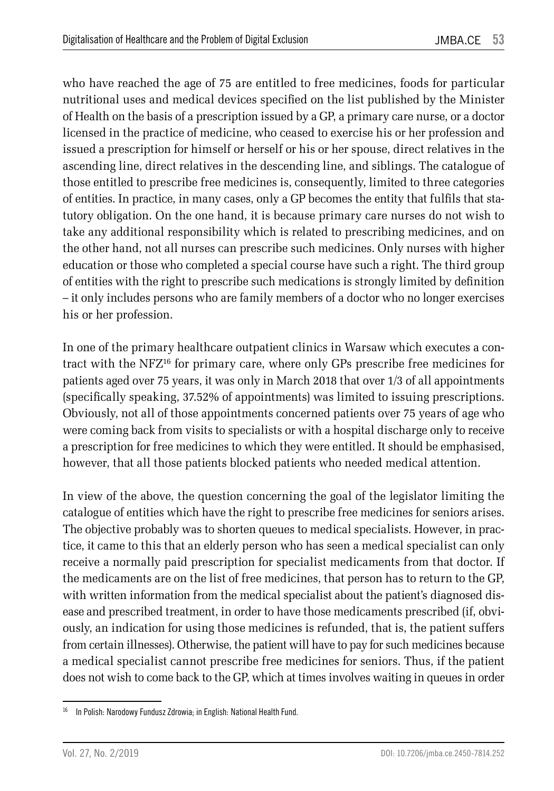who have reached the age of 75 are entitled to free medicines, foods for particular nutritional uses and medical devices specified on the list published by the Minister of Health on the basis of a prescription issued by a GP, a primary care nurse, or a doctor licensed in the practice of medicine, who ceased to exercise his or her profession and issued a prescription for himself or herself or his or her spouse, direct relatives in the ascending line, direct relatives in the descending line, and siblings. The catalogue of those entitled to prescribe free medicines is, consequently, limited to three categories of entities. In practice, in many cases, only a GP becomes the entity that fulfils that statutory obligation. On the one hand, it is because primary care nurses do not wish to take any additional responsibility which is related to prescribing medicines, and on the other hand, not all nurses can prescribe such medicines. Only nurses with higher education or those who completed a special course have such a right. The third group of entities with the right to prescribe such medications is strongly limited by definition – it only includes persons who are family members of a doctor who no longer exercises his or her profession.

In one of the primary healthcare outpatient clinics in Warsaw which executes a contract with the NFZ16 for primary care, where only GPs prescribe free medicines for patients aged over 75 years, it was only in March 2018 that over 1/3 of all appointments (specifically speaking, 37.52% of appointments) was limited to issuing prescriptions. Obviously, not all of those appointments concerned patients over 75 years of age who were coming back from visits to specialists or with a hospital discharge only to receive a prescription for free medicines to which they were entitled. It should be emphasised, however, that all those patients blocked patients who needed medical attention.

In view of the above, the question concerning the goal of the legislator limiting the catalogue of entities which have the right to prescribe free medicines for seniors arises. The objective probably was to shorten queues to medical specialists. However, in practice, it came to this that an elderly person who has seen a medical specialist can only receive a normally paid prescription for specialist medicaments from that doctor. If the medicaments are on the list of free medicines, that person has to return to the GP, with written information from the medical specialist about the patient's diagnosed disease and prescribed treatment, in order to have those medicaments prescribed (if, obviously, an indication for using those medicines is refunded, that is, the patient suffers from certain illnesses). Otherwise, the patient will have to pay for such medicines because a medical specialist cannot prescribe free medicines for seniors. Thus, if the patient does not wish to come back to the GP, which at times involves waiting in queues in order

<sup>&</sup>lt;sup>16</sup> In Polish: Narodowy Fundusz Zdrowia; in English: National Health Fund.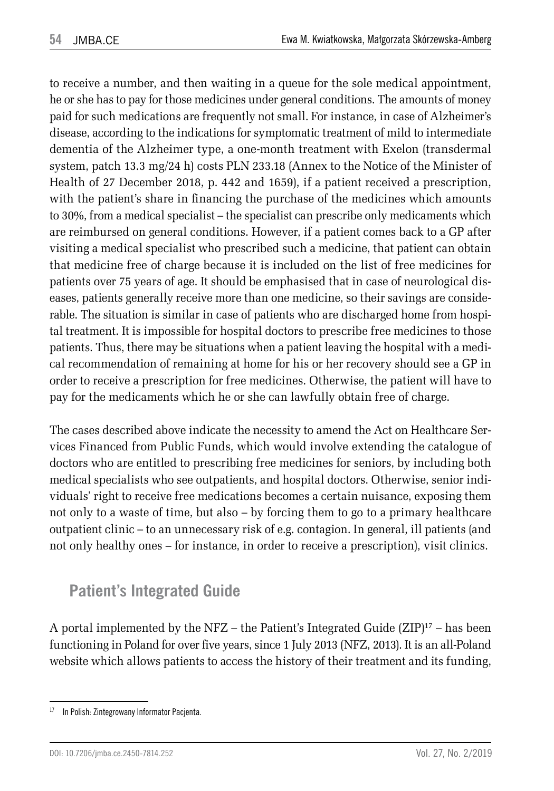to receive a number, and then waiting in a queue for the sole medical appointment, he or she has to pay for those medicines under general conditions. The amounts of money paid for such medications are frequently not small. For instance, in case of Alzheimer's disease, according to the indications for symptomatic treatment of mild to intermediate dementia of the Alzheimer type, a one-month treatment with Exelon (transdermal system, patch 13.3 mg/24 h) costs PLN 233.18 (Annex to the Notice of the Minister of Health of 27 December 2018, p. 442 and 1659), if a patient received a prescription, with the patient's share in financing the purchase of the medicines which amounts to 30%, from a medical specialist – the specialist can prescribe only medicaments which are reimbursed on general conditions. However, if a patient comes back to a GP after visiting a medical specialist who prescribed such a medicine, that patient can obtain that medicine free of charge because it is included on the list of free medicines for patients over 75 years of age. It should be emphasised that in case of neurological diseases, patients generally receive more than one medicine, so their savings are considerable. The situation is similar in case of patients who are discharged home from hospital treatment. It is impossible for hospital doctors to prescribe free medicines to those patients. Thus, there may be situations when a patient leaving the hospital with a medical recommendation of remaining at home for his or her recovery should see a GP in order to receive a prescription for free medicines. Otherwise, the patient will have to pay for the medicaments which he or she can lawfully obtain free of charge.

The cases described above indicate the necessity to amend the Act on Healthcare Services Financed from Public Funds, which would involve extending the catalogue of doctors who are entitled to prescribing free medicines for seniors, by including both medical specialists who see outpatients, and hospital doctors. Otherwise, senior individuals' right to receive free medications becomes a certain nuisance, exposing them not only to a waste of time, but also – by forcing them to go to a primary healthcare outpatient clinic – to an unnecessary risk of e.g. contagion. In general, ill patients (and not only healthy ones – for instance, in order to receive a prescription), visit clinics.

## **Patient's Integrated Guide**

A portal implemented by the NFZ – the Patient's Integrated Guide  $(ZIP)^{17}$  – has been functioning in Poland for over five years, since 1 July 2013 (NFZ, 2013). It is an all-Poland website which allows patients to access the history of their treatment and its funding,

<sup>&</sup>lt;sup>17</sup> In Polish: Zintegrowany Informator Pacjenta.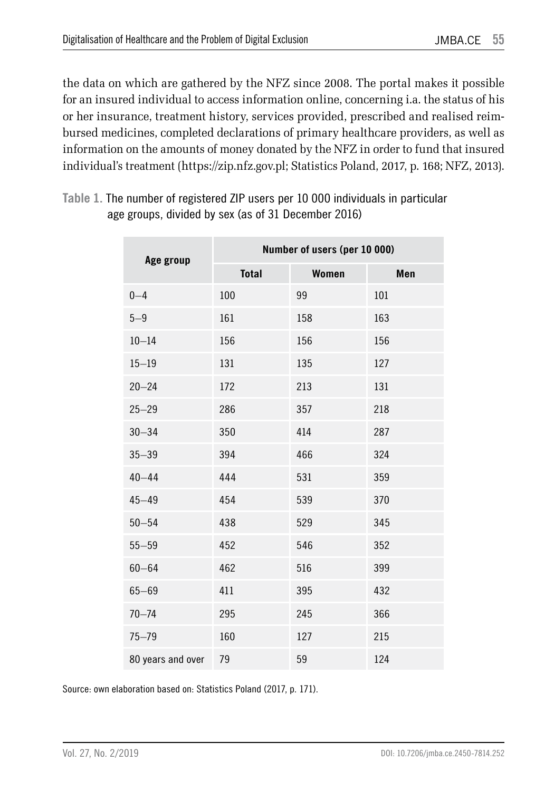the data on which are gathered by the NFZ since 2008. The portal makes it possible for an insured individual to access information online, concerning i.a. the status of his or her insurance, treatment history, services provided, prescribed and realised reimbursed medicines, completed declarations of primary healthcare providers, as well as information on the amounts of money donated by the NFZ in order to fund that insured individual's treatment (https://zip.nfz.gov.pl; Statistics Poland, 2017, p. 168; NFZ, 2013).

**Table 1.** The number of registered ZIP users per 10 000 individuals in particular age groups, divided by sex (as of 31 December 2016)

| Age group         | Number of users (per 10 000) |       |     |  |  |
|-------------------|------------------------------|-------|-----|--|--|
|                   | <b>Total</b>                 | Women | Men |  |  |
| $0 - 4$           | 100                          | 99    | 101 |  |  |
| $5 - 9$           | 161                          | 158   | 163 |  |  |
| $10 - 14$         | 156                          | 156   | 156 |  |  |
| $15 - 19$         | 131                          | 135   | 127 |  |  |
| $20 - 24$         | 172                          | 213   | 131 |  |  |
| $25 - 29$         | 286                          | 357   | 218 |  |  |
| $30 - 34$         | 350                          | 414   | 287 |  |  |
| $35 - 39$         | 394                          | 466   | 324 |  |  |
| $40 - 44$         | 444                          | 531   | 359 |  |  |
| $45 - 49$         | 454                          | 539   | 370 |  |  |
| $50 - 54$         | 438                          | 529   | 345 |  |  |
| $55 - 59$         | 452                          | 546   | 352 |  |  |
| $60 - 64$         | 462                          | 516   | 399 |  |  |
| $65 - 69$         | 411                          | 395   | 432 |  |  |
| $70 - 74$         | 295                          | 245   | 366 |  |  |
| $75 - 79$         | 160                          | 127   | 215 |  |  |
| 80 years and over | 79                           | 59    | 124 |  |  |

Source: own elaboration based on: Statistics Poland (2017, p. 171).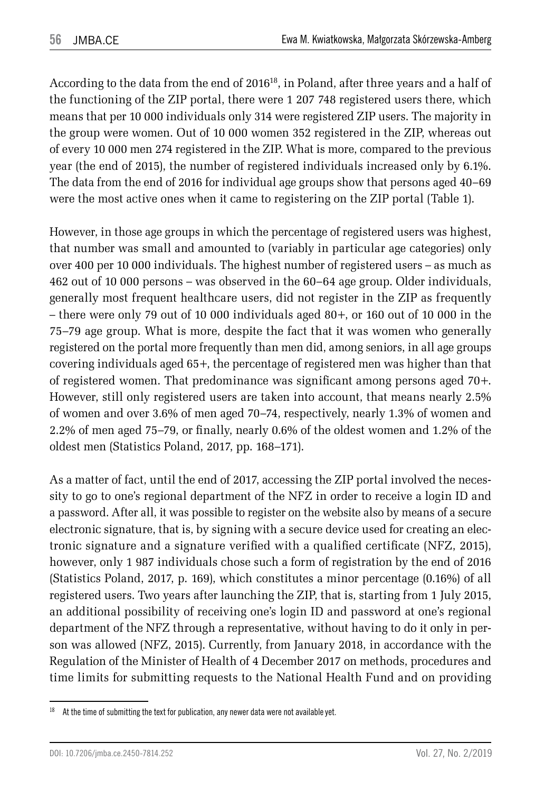According to the data from the end of 201618, in Poland, after three years and a half of the functioning of the ZIP portal, there were 1 207 748 registered users there, which means that per 10 000 individuals only 314 were registered ZIP users. The majority in the group were women. Out of 10 000 women 352 registered in the ZIP, whereas out of every 10 000 men 274 registered in the ZIP. What is more, compared to the previous year (the end of 2015), the number of registered individuals increased only by 6.1%. The data from the end of 2016 for individual age groups show that persons aged 40–69 were the most active ones when it came to registering on the ZIP portal (Table 1).

However, in those age groups in which the percentage of registered users was highest, that number was small and amounted to (variably in particular age categories) only over 400 per 10 000 individuals. The highest number of registered users – as much as 462 out of 10 000 persons – was observed in the 60–64 age group. Older individuals, generally most frequent healthcare users, did not register in the ZIP as frequently – there were only 79 out of 10 000 individuals aged 80+, or 160 out of 10 000 in the 75–79 age group. What is more, despite the fact that it was women who generally registered on the portal more frequently than men did, among seniors, in all age groups covering individuals aged 65+, the percentage of registered men was higher than that of registered women. That predominance was significant among persons aged 70+. However, still only registered users are taken into account, that means nearly 2.5% of women and over 3.6% of men aged 70–74, respectively, nearly 1.3% of women and 2.2% of men aged 75–79, or finally, nearly 0.6% of the oldest women and 1.2% of the oldest men (Statistics Poland, 2017, pp. 168–171).

As a matter of fact, until the end of 2017, accessing the ZIP portal involved the necessity to go to one's regional department of the NFZ in order to receive a login ID and a password. After all, it was possible to register on the website also by means of a secure electronic signature, that is, by signing with a secure device used for creating an electronic signature and a signature verified with a qualified certificate (NFZ, 2015), however, only 1 987 individuals chose such a form of registration by the end of 2016 (Statistics Poland, 2017, p. 169), which constitutes a minor percentage (0.16%) of all registered users. Two years after launching the ZIP, that is, starting from 1 July 2015, an additional possibility of receiving one's login ID and password at one's regional department of the NFZ through a representative, without having to do it only in person was allowed (NFZ, 2015). Currently, from January 2018, in accordance with the Regulation of the Minister of Health of 4 December 2017 on methods, procedures and time limits for submitting requests to the National Health Fund and on providing

<sup>&</sup>lt;sup>18</sup> At the time of submitting the text for publication, any newer data were not available yet.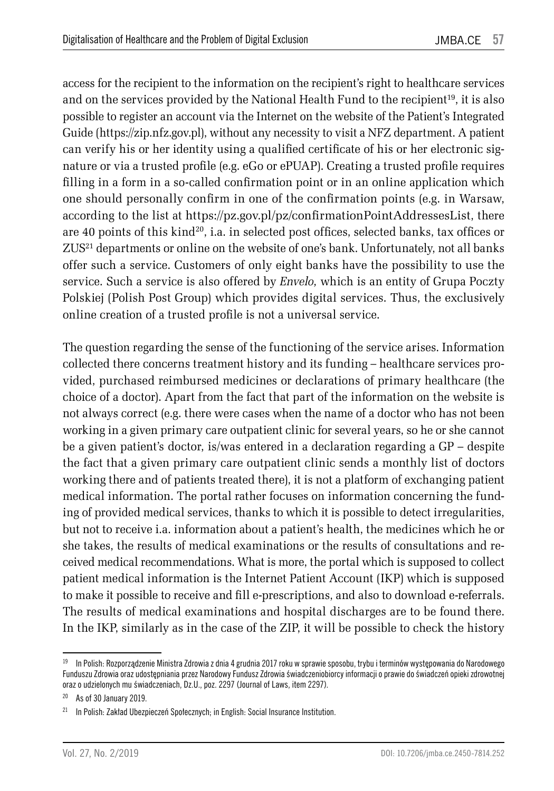access for the recipient to the information on the recipient's right to healthcare services and on the services provided by the National Health Fund to the recipient<sup>19</sup>, it is also possible to register an account via the Internet on the website of the Patient's Integrated Guide (https://zip.nfz.gov.pl), without any necessity to visit a NFZ department. A patient can verify his or her identity using a qualified certificate of his or her electronic signature or via a trusted profile (e.g. eGo or ePUAP). Creating a trusted profile requires filling in a form in a so-called confirmation point or in an online application which one should personally confirm in one of the confirmation points (e.g. in Warsaw, according to the list at https://pz.gov.pl/pz/confirmationPointAddressesList, there are 40 points of this kind<sup>20</sup>, i.a. in selected post offices, selected banks, tax offices or ZUS21 departments or online on the website of one's bank. Unfortunately, not all banks offer such a service. Customers of only eight banks have the possibility to use the service. Such a service is also offered by *Envelo,* which is an entity of Grupa Poczty Polskiej (Polish Post Group) which provides digital services. Thus, the exclusively online creation of a trusted profile is not a universal service.

The question regarding the sense of the functioning of the service arises. Information collected there concerns treatment history and its funding – healthcare services provided, purchased reimbursed medicines or declarations of primary healthcare (the choice of a doctor). Apart from the fact that part of the information on the website is not always correct (e.g. there were cases when the name of a doctor who has not been working in a given primary care outpatient clinic for several years, so he or she cannot be a given patient's doctor, is/was entered in a declaration regarding a GP – despite the fact that a given primary care outpatient clinic sends a monthly list of doctors working there and of patients treated there), it is not a platform of exchanging patient medical information. The portal rather focuses on information concerning the funding of provided medical services, thanks to which it is possible to detect irregularities, but not to receive i.a. information about a patient's health, the medicines which he or she takes, the results of medical examinations or the results of consultations and received medical recommendations. What is more, the portal which is supposed to collect patient medical information is the Internet Patient Account (IKP) which is supposed to make it possible to receive and fill e-prescriptions, and also to download e-referrals. The results of medical examinations and hospital discharges are to be found there. In the IKP, similarly as in the case of the ZIP, it will be possible to check the history

<sup>&</sup>lt;sup>19</sup> In Polish: Rozporządzenie Ministra Zdrowia z dnia 4 grudnia 2017 roku w sprawie sposobu, trybu i terminów występowania do Narodowego Funduszu Zdrowia oraz udostępniania przez Narodowy Fundusz Zdrowia świadczeniobiorcy informacji o prawie do świadczeń opieki zdrowotnej oraz o udzielonych mu świadczeniach, Dz.U., poz. 2297 (Journal of Laws, item 2297).

<sup>20</sup> As of 30 January 2019.

<sup>&</sup>lt;sup>21</sup> In Polish: Zakład Ubezpieczeń Społecznych; in English: Social Insurance Institution.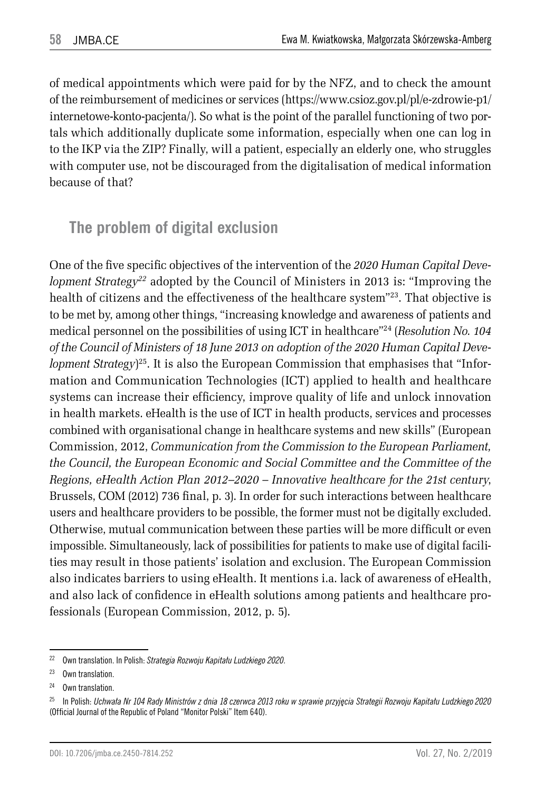of medical appointments which were paid for by the NFZ, and to check the amount of the reimbursement of medicines or services (https://www.csioz.gov.pl/pl/e-zdrowie-p1/ internetowe-konto-pacjenta/). So what is the point of the parallel functioning of two portals which additionally duplicate some information, especially when one can log in to the IKP via the ZIP? Finally, will a patient, especially an elderly one, who struggles with computer use, not be discouraged from the digitalisation of medical information because of that?

#### **The problem of digital exclusion**

One of the five specific objectives of the intervention of the *2020 Human Capital Development Strategy22* adopted by the Council of Ministers in 2013 is: "Improving the health of citizens and the effectiveness of the healthcare system"<sup>23</sup>. That objective is to be met by, among other things, "increasing knowledge and awareness of patients and medical personnel on the possibilities of using ICT in healthcare"24 (*Resolution No. 104 of the Council of Ministers of 18 June 2013 on adoption of the 2020 Human Capital Development Strategy*) 25. It is also the European Commission that emphasises that "Information and Communication Technologies (ICT) applied to health and healthcare systems can increase their efficiency, improve quality of life and unlock innovation in health markets. eHealth is the use of ICT in health products, services and processes combined with organisational change in healthcare systems and new skills" (European Commission, 2012, *Communication from the Commission to the European Parliament, the Council, the European Economic and Social Committee and the Committee of the Regions, eHealth Action Plan 2012–2020 – Innovative healthcare for the 21st century*, Brussels, COM (2012) 736 final, p. 3). In order for such interactions between healthcare users and healthcare providers to be possible, the former must not be digitally excluded. Otherwise, mutual communication between these parties will be more difficult or even impossible. Simultaneously, lack of possibilities for patients to make use of digital facilities may result in those patients' isolation and exclusion. The European Commission also indicates barriers to using eHealth. It mentions i.a. lack of awareness of eHealth, and also lack of confidence in eHealth solutions among patients and healthcare professionals (European Commission, 2012, p. 5).

<sup>22</sup> Own translation. In Polish: *Strategia Rozwoju Kapitału Ludzkiego 2020*.

<sup>23</sup> Own translation.

<sup>24</sup> Own translation.

<sup>25</sup> In Polish: *Uchwała Nr 104 Rady Ministrów z dnia 18 czerwca 2013 roku w sprawie przyjęcia Strategii Rozwoju Kapitału Ludzkiego 2020*  (Official Journal of the Republic of Poland "Monitor Polski" Item 640).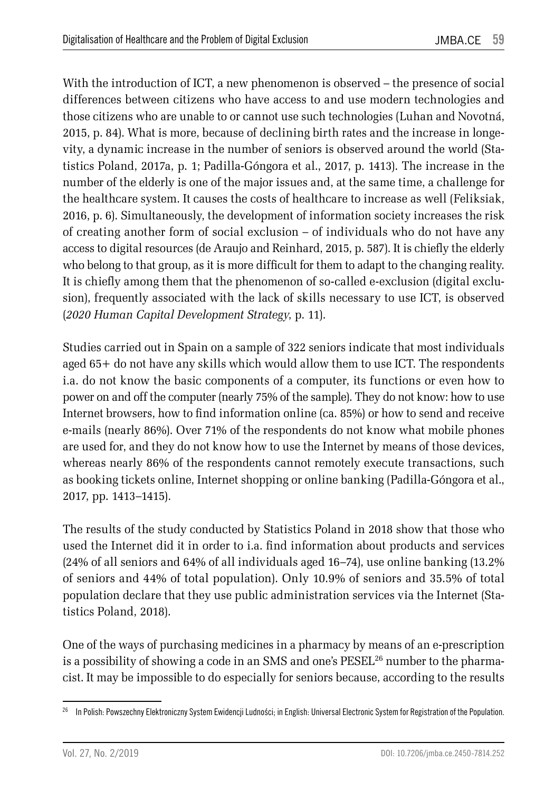With the introduction of ICT, a new phenomenon is observed – the presence of social differences between citizens who have access to and use modern technologies and those citizens who are unable to or cannot use such technologies (Luhan and Novotná, 2015, p. 84). What is more, because of declining birth rates and the increase in longevity, a dynamic increase in the number of seniors is observed around the world (Statistics Poland, 2017a, p. 1; Padilla-Góngora et al., 2017, p. 1413). The increase in the number of the elderly is one of the major issues and, at the same time, a challenge for the healthcare system. It causes the costs of healthcare to increase as well (Feliksiak, 2016, p. 6). Simultaneously, the development of information society increases the risk of creating another form of social exclusion – of individuals who do not have any access to digital resources (de Araujo and Reinhard, 2015, p. 587). It is chiefly the elderly who belong to that group, as it is more difficult for them to adapt to the changing reality. It is chiefly among them that the phenomenon of so-called e-exclusion (digital exclusion), frequently associated with the lack of skills necessary to use ICT, is observed (*2020 Human Capital Development Strategy*, p. 11).

Studies carried out in Spain on a sample of 322 seniors indicate that most individuals aged 65+ do not have any skills which would allow them to use ICT. The respondents i.a. do not know the basic components of a computer, its functions or even how to power on and off the computer (nearly 75% of the sample). They do not know: how to use Internet browsers, how to find information online (ca. 85%) or how to send and receive e-mails (nearly 86%). Over 71% of the respondents do not know what mobile phones are used for, and they do not know how to use the Internet by means of those devices, whereas nearly 86% of the respondents cannot remotely execute transactions, such as booking tickets online, Internet shopping or online banking (Padilla-Góngora et al., 2017, pp. 1413–1415).

The results of the study conducted by Statistics Poland in 2018 show that those who used the Internet did it in order to i.a. find information about products and services (24% of all seniors and 64% of all individuals aged 16–74), use online banking (13.2% of seniors and 44% of total population). Only 10.9% of seniors and 35.5% of total population declare that they use public administration services via the Internet (Statistics Poland, 2018).

One of the ways of purchasing medicines in a pharmacy by means of an e-prescription is a possibility of showing a code in an SMS and one's PESEL<sup>26</sup> number to the pharmacist. It may be impossible to do especially for seniors because, according to the results

<sup>&</sup>lt;sup>26</sup> In Polish: Powszechny Elektroniczny System Ewidencji Ludności; in English: Universal Electronic System for Registration of the Population.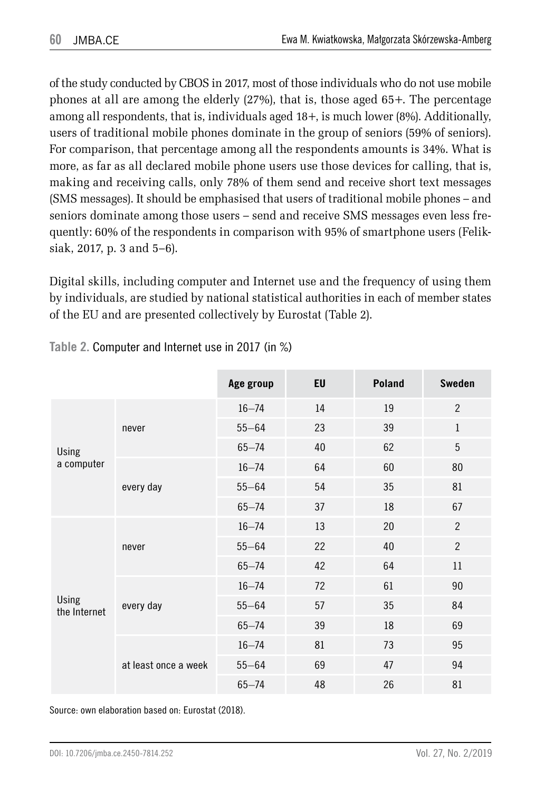of the study conducted by CBOS in 2017, most of those individuals who do not use mobile phones at all are among the elderly (27%), that is, those aged 65+. The percentage among all respondents, that is, individuals aged 18+, is much lower (8%). Additionally, users of traditional mobile phones dominate in the group of seniors (59% of seniors). For comparison, that percentage among all the respondents amounts is 34%. What is more, as far as all declared mobile phone users use those devices for calling, that is, making and receiving calls, only 78% of them send and receive short text messages (SMS messages). It should be emphasised that users of traditional mobile phones – and seniors dominate among those users – send and receive SMS messages even less frequently: 60% of the respondents in comparison with 95% of smartphone users (Feliksiak, 2017, p. 3 and 5–6).

Digital skills, including computer and Internet use and the frequency of using them by individuals, are studied by national statistical authorities in each of member states of the EU and are presented collectively by Eurostat (Table 2).

|                            |                      | Age group | EU | Poland | <b>Sweden</b>  |
|----------------------------|----------------------|-----------|----|--------|----------------|
| <b>Using</b><br>a computer | never                | $16 - 74$ | 14 | 19     | $\overline{2}$ |
|                            |                      | $55 - 64$ | 23 | 39     | $\mathbf{1}$   |
|                            |                      | $65 - 74$ | 40 | 62     | 5              |
|                            | every day            | $16 - 74$ | 64 | 60     | 80             |
|                            |                      | $55 - 64$ | 54 | 35     | 81             |
|                            |                      | $65 - 74$ | 37 | 18     | 67             |
| Using<br>the Internet      | never                | $16 - 74$ | 13 | 20     | $\overline{2}$ |
|                            |                      | $55 - 64$ | 22 | 40     | $\overline{2}$ |
|                            |                      | $65 - 74$ | 42 | 64     | 11             |
|                            | every day            | $16 - 74$ | 72 | 61     | 90             |
|                            |                      | $55 - 64$ | 57 | 35     | 84             |
|                            |                      | $65 - 74$ | 39 | 18     | 69             |
|                            | at least once a week | $16 - 74$ | 81 | 73     | 95             |
|                            |                      | $55 - 64$ | 69 | 47     | 94             |
|                            |                      | $65 - 74$ | 48 | 26     | 81             |

**Table 2.** Computer and Internet use in 2017 (in %)

Source: own elaboration based on: Eurostat (2018).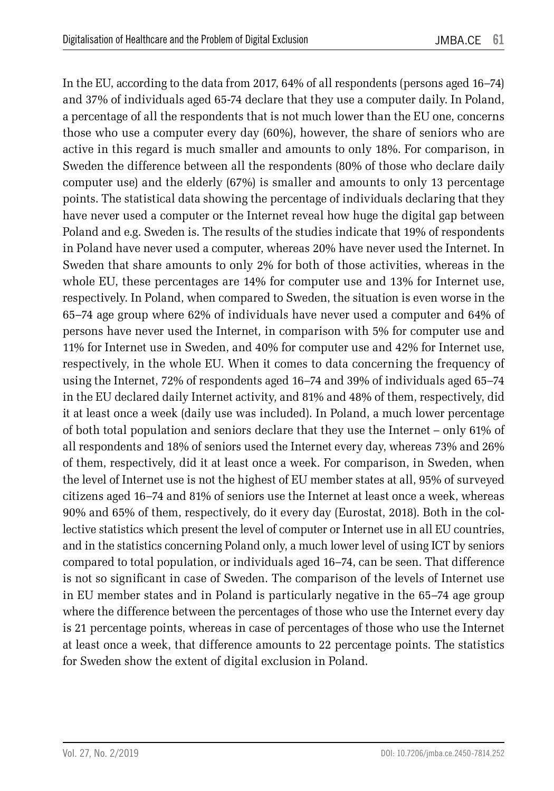In the EU, according to the data from 2017, 64% of all respondents (persons aged 16–74) and 37% of individuals aged 65-74 declare that they use a computer daily. In Poland, a percentage of all the respondents that is not much lower than the EU one, concerns those who use a computer every day (60%), however, the share of seniors who are active in this regard is much smaller and amounts to only 18%. For comparison, in Sweden the difference between all the respondents (80% of those who declare daily computer use) and the elderly (67%) is smaller and amounts to only 13 percentage points. The statistical data showing the percentage of individuals declaring that they have never used a computer or the Internet reveal how huge the digital gap between Poland and e.g. Sweden is. The results of the studies indicate that 19% of respondents in Poland have never used a computer, whereas 20% have never used the Internet. In Sweden that share amounts to only 2% for both of those activities, whereas in the whole EU, these percentages are 14% for computer use and 13% for Internet use, respectively. In Poland, when compared to Sweden, the situation is even worse in the 65–74 age group where 62% of individuals have never used a computer and 64% of persons have never used the Internet, in comparison with 5% for computer use and 11% for Internet use in Sweden, and 40% for computer use and 42% for Internet use, respectively, in the whole EU. When it comes to data concerning the frequency of using the Internet, 72% of respondents aged 16–74 and 39% of individuals aged 65–74 in the EU declared daily Internet activity, and 81% and 48% of them, respectively, did it at least once a week (daily use was included). In Poland, a much lower percentage of both total population and seniors declare that they use the Internet – only 61% of all respondents and 18% of seniors used the Internet every day, whereas 73% and 26% of them, respectively, did it at least once a week. For comparison, in Sweden, when the level of Internet use is not the highest of EU member states at all, 95% of surveyed citizens aged 16–74 and 81% of seniors use the Internet at least once a week, whereas 90% and 65% of them, respectively, do it every day (Eurostat, 2018). Both in the collective statistics which present the level of computer or Internet use in all EU countries, and in the statistics concerning Poland only, a much lower level of using ICT by seniors compared to total population, or individuals aged 16–74, can be seen. That difference is not so significant in case of Sweden. The comparison of the levels of Internet use in EU member states and in Poland is particularly negative in the 65–74 age group where the difference between the percentages of those who use the Internet every day is 21 percentage points, whereas in case of percentages of those who use the Internet at least once a week, that difference amounts to 22 percentage points. The statistics for Sweden show the extent of digital exclusion in Poland.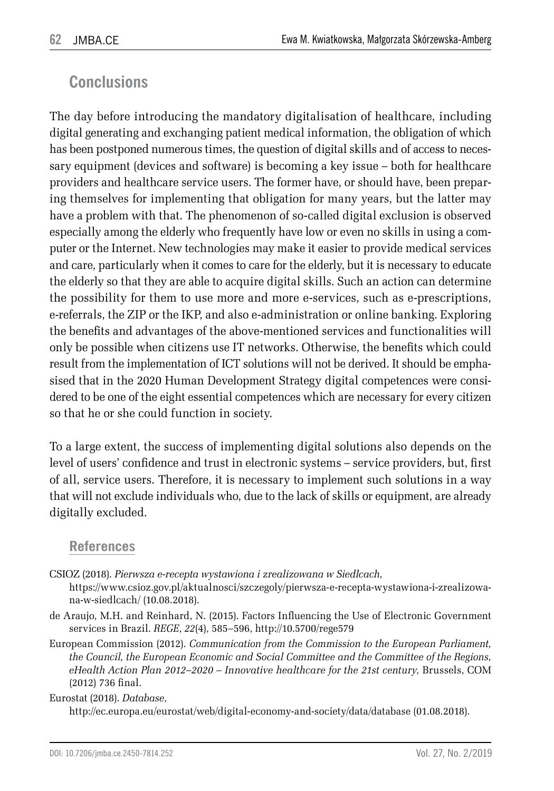#### **Conclusions**

The day before introducing the mandatory digitalisation of healthcare, including digital generating and exchanging patient medical information, the obligation of which has been postponed numerous times, the question of digital skills and of access to necessary equipment (devices and software) is becoming a key issue – both for healthcare providers and healthcare service users. The former have, or should have, been preparing themselves for implementing that obligation for many years, but the latter may have a problem with that. The phenomenon of so-called digital exclusion is observed especially among the elderly who frequently have low or even no skills in using a computer or the Internet. New technologies may make it easier to provide medical services and care, particularly when it comes to care for the elderly, but it is necessary to educate the elderly so that they are able to acquire digital skills. Such an action can determine the possibility for them to use more and more e-services, such as e-prescriptions, e-referrals, the ZIP or the IKP, and also e-administration or online banking. Exploring the benefits and advantages of the above-mentioned services and functionalities will only be possible when citizens use IT networks. Otherwise, the benefits which could result from the implementation of ICT solutions will not be derived. It should be emphasised that in the 2020 Human Development Strategy digital competences were considered to be one of the eight essential competences which are necessary for every citizen so that he or she could function in society.

To a large extent, the success of implementing digital solutions also depends on the level of users' confidence and trust in electronic systems – service providers, but, first of all, service users. Therefore, it is necessary to implement such solutions in a way that will not exclude individuals who, due to the lack of skills or equipment, are already digitally excluded.

#### **References**

CSIOZ (2018). *Pierwsza e-recepta wystawiona i zrealizowana w Siedlcach*,

https://www.csioz.gov.pl/aktualnosci/szczegoly/pierwsza-e-recepta-wystawiona-i-zrealizowana-w-siedlcach/ (10.08.2018).

- de Araujo, M.H. and Reinhard, N. (2015). Factors Influencing the Use of Electronic Government services in Brazil. *REGE*, *22*(4), 585–596, http://10.5700/rege579
- European Commission (2012). *Communication from the Commission to the European Parliament, the Council, the European Economic and Social Committee and the Committee of the Regions, eHealth Action Plan 2012–2020 – Innovative healthcare for the 21st century*, Brussels, COM (2012) 736 final.

Eurostat (2018). *Database*,

http://ec.europa.eu/eurostat/web/digital-economy-and-society/data/database (01.08.2018).